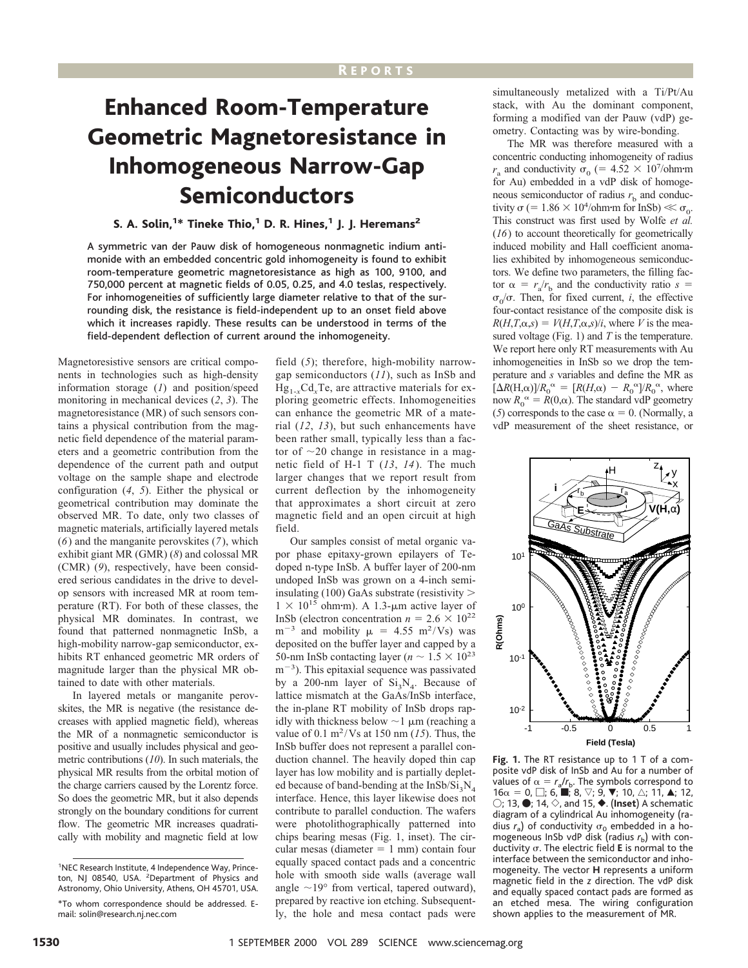## R EPORTS

## Enhanced Room-Temperature Geometric Magnetoresistance in Inhomogeneous Narrow-Gap Semiconductors

## S. A. Solin,<sup>1\*</sup> Tineke Thio,<sup>1</sup> D. R. Hines,<sup>1</sup> J. J. Heremans<sup>2</sup>

A symmetric van der Pauw disk of homogeneous nonmagnetic indium antimonide with an embedded concentric gold inhomogeneity is found to exhibit room-temperature geometric magnetoresistance as high as 100, 9100, and 750,000 percent at magnetic fields of 0.05, 0.25, and 4.0 teslas, respectively. For inhomogeneities of sufficiently large diameter relative to that of the surrounding disk, the resistance is field-independent up to an onset field above which it increases rapidly. These results can be understood in terms of the field-dependent deflection of current around the inhomogeneity.

Magnetoresistive sensors are critical components in technologies such as high-density information storage (*1*) and position/speed monitoring in mechanical devices (*2*, *3*). The magnetoresistance (MR) of such sensors contains a physical contribution from the magnetic field dependence of the material parameters and a geometric contribution from the dependence of the current path and output voltage on the sample shape and electrode configuration (*4*, *5*). Either the physical or geometrical contribution may dominate the observed MR. To date, only two classes of magnetic materials, artificially layered metals (*6*) and the manganite perovskites (*7*), which exhibit giant MR (GMR) (*8*) and colossal MR (CMR) (*9*), respectively, have been considered serious candidates in the drive to develop sensors with increased MR at room temperature (RT). For both of these classes, the physical MR dominates. In contrast, we found that patterned nonmagnetic InSb, a high-mobility narrow-gap semiconductor, exhibits RT enhanced geometric MR orders of magnitude larger than the physical MR obtained to date with other materials.

In layered metals or manganite perovskites, the MR is negative (the resistance decreases with applied magnetic field), whereas the MR of a nonmagnetic semiconductor is positive and usually includes physical and geometric contributions (*10*). In such materials, the physical MR results from the orbital motion of the charge carriers caused by the Lorentz force. So does the geometric MR, but it also depends strongly on the boundary conditions for current flow. The geometric MR increases quadratically with mobility and magnetic field at low

field (*5*); therefore, high-mobility narrowgap semiconductors (*11*), such as InSb and  $Hg_{1-x}Cd_{x}Te$ , are attractive materials for exploring geometric effects. Inhomogeneities can enhance the geometric MR of a material (*12*, *13*), but such enhancements have been rather small, typically less than a factor of  $\sim$ 20 change in resistance in a magnetic field of H-1 T (*13*, *14*). The much larger changes that we report result from current deflection by the inhomogeneity that approximates a short circuit at zero magnetic field and an open circuit at high field.

Our samples consist of metal organic vapor phase epitaxy-grown epilayers of Tedoped n-type InSb. A buffer layer of 200-nm undoped InSb was grown on a 4-inch semiinsulating (100) GaAs substrate (resistivity  $>$  $1 \times 10^{15}$  ohm·m). A 1.3- $\mu$ m active layer of InSb (electron concentration  $n = 2.6 \times 10^{22}$  $m^{-3}$  and mobility  $\mu = 4.55$  m<sup>2</sup>/Vs) was deposited on the buffer layer and capped by a 50-nm InSb contacting layer ( $n \sim 1.5 \times 10^{23}$  $m^{-3}$ ). This epitaxial sequence was passivated by a 200-nm layer of  $Si_3N_4$ . Because of lattice mismatch at the GaAs/InSb interface, the in-plane RT mobility of InSb drops rapidly with thickness below  $\sim$ 1  $\mu$ m (reaching a value of  $0.1 \text{ m}^2/\text{Vs}$  at 150 nm (15). Thus, the InSb buffer does not represent a parallel conduction channel. The heavily doped thin cap layer has low mobility and is partially depleted because of band-bending at the InSb/Si<sub>3</sub>N<sub>4</sub> interface. Hence, this layer likewise does not contribute to parallel conduction. The wafers were photolithographically patterned into chips bearing mesas (Fig. 1, inset). The circular mesas (diameter  $= 1$  mm) contain four equally spaced contact pads and a concentric hole with smooth side walls (average wall angle  $\sim$ 19° from vertical, tapered outward), prepared by reactive ion etching. Subsequently, the hole and mesa contact pads were

simultaneously metalized with a Ti/Pt/Au stack, with Au the dominant component, forming a modified van der Pauw (vdP) geometry. Contacting was by wire-bonding.

The MR was therefore measured with a concentric conducting inhomogeneity of radius  $r_a$  and conductivity  $\sigma_0$  (= 4.52  $\times$  10<sup>7</sup>/ohm·m for Au) embedded in a vdP disk of homogeneous semiconductor of radius  $r<sub>b</sub>$  and conductivity  $\sigma$  (= 1.86  $\times$  10<sup>4</sup>/ohm·m for InSb)  $\ll \sigma_0$ . This construct was first used by Wolfe *et al.* (*16*) to account theoretically for geometrically induced mobility and Hall coefficient anomalies exhibited by inhomogeneous semiconductors. We define two parameters, the filling factor  $\alpha = r_a/r_b$  and the conductivity ratio  $s =$  $\sigma_0/\sigma$ . Then, for fixed current, *i*, the effective four-contact resistance of the composite disk is  $R(H, T, \alpha, s) = V(H, T, \alpha, s)/i$ , where *V* is the measured voltage (Fig. 1) and *T* is the temperature. We report here only RT measurements with Au inhomogeneities in InSb so we drop the temperature and *s* variables and define the MR as  $\left[\Delta R(H,\alpha)\right]/R_0^{\alpha} = \left[R(H,\alpha) - R_0^{\alpha}\right]/R_0^{\alpha}$ , where now  $R_0^{\alpha} = R(0,\alpha)$ . The standard vdP geometry (*5*) corresponds to the case  $\alpha = 0$ . (Normally, a vdP measurement of the sheet resistance, or



**Fig. 1.** The RT resistance up to 1 T of a composite vdP disk of InSb and Au for a number of values of  $\alpha = r_a/r_b$ . The symbols correspond to  $16\alpha = 0$ ,  $\Box$ ; 6,  $\blacksquare$ ; 8,  $\triangledown$ ; 9,  $\nabla$ ; 10,  $\triangle$ ; 11,  $\blacktriangle$ ; 12,  $\bigcirc$ ; 13,  $\bullet$ ; 14,  $\diamond$ , and 15,  $\bullet$ . (Inset) A schematic diagram of a cylindrical Au inhomogeneity (radius  $r_a$ ) of conductivity  $\sigma_0$  embedded in a homogeneous InSb vdP disk (radius  $r<sub>b</sub>$ ) with conductivity  $\sigma$ . The electric field **E** is normal to the interface between the semiconductor and inhomogeneity. The vector **H** represents a uniform magnetic field in the *z* direction. The vdP disk and equally spaced contact pads are formed as an etched mesa. The wiring configuration shown applies to the measurement of MR.

<sup>&</sup>lt;sup>1</sup>NEC Research Institute, 4 Independence Way, Princeton, NJ 08540, USA. <sup>2</sup>Department of Physics and Astronomy, Ohio University, Athens, OH 45701, USA.

<sup>\*</sup>To whom correspondence should be addressed. Email: solin@research.nj.nec.com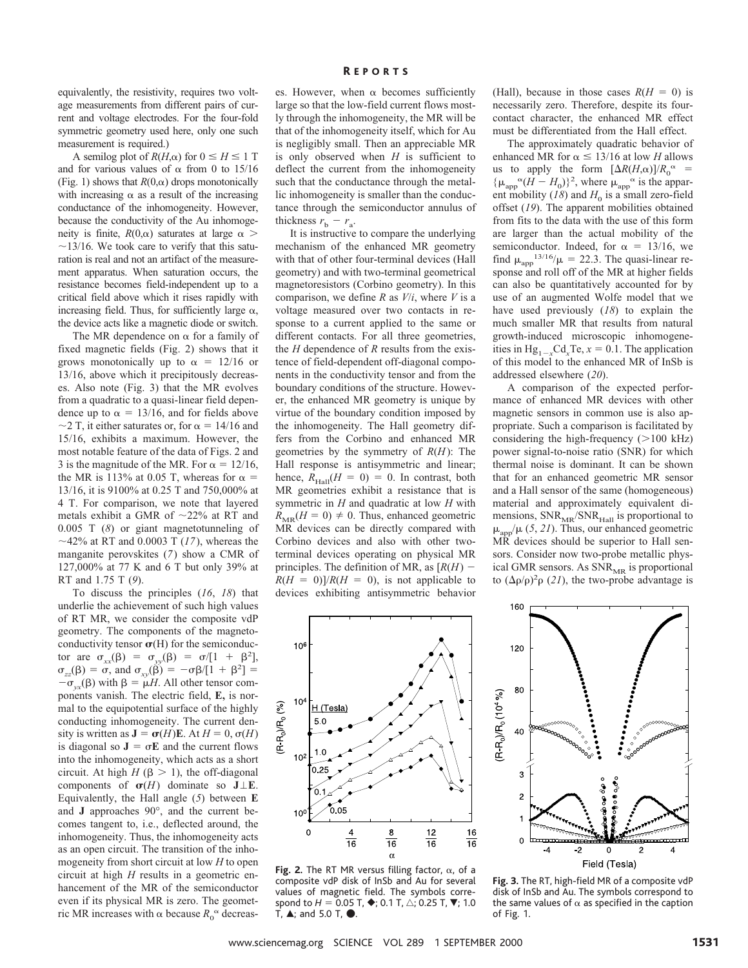equivalently, the resistivity, requires two voltage measurements from different pairs of current and voltage electrodes. For the four-fold symmetric geometry used here, only one such measurement is required.)

A semilog plot of  $R(H,\alpha)$  for  $0 \le H \le 1$  T and for various values of  $\alpha$  from 0 to 15/16 (Fig. 1) shows that  $R(0, \alpha)$  drops monotonically with increasing  $\alpha$  as a result of the increasing conductance of the inhomogeneity. However, because the conductivity of the Au inhomogeneity is finite,  $R(0,\alpha)$  saturates at large  $\alpha$  $\sim$ 13/16. We took care to verify that this saturation is real and not an artifact of the measurement apparatus. When saturation occurs, the resistance becomes field-independent up to a critical field above which it rises rapidly with increasing field. Thus, for sufficiently large  $\alpha$ , the device acts like a magnetic diode or switch.

The MR dependence on  $\alpha$  for a family of fixed magnetic fields (Fig. 2) shows that it grows monotonically up to  $\alpha = 12/16$  or 13/16, above which it precipitously decreases. Also note (Fig. 3) that the MR evolves from a quadratic to a quasi-linear field dependence up to  $\alpha = 13/16$ , and for fields above  $\sim$ 2 T, it either saturates or, for  $\alpha$  = 14/16 and 15/16, exhibits a maximum. However, the most notable feature of the data of Figs. 2 and 3 is the magnitude of the MR. For  $\alpha = 12/16$ , the MR is 113% at 0.05 T, whereas for  $\alpha =$ 13/16, it is 9100% at 0.25 T and 750,000% at 4 T. For comparison, we note that layered metals exhibit a GMR of  $\sim$ 22% at RT and 0.005 T (*8*) or giant magnetotunneling of  $\sim$ 42% at RT and 0.0003 T (17), whereas the manganite perovskites (*7*) show a CMR of 127,000% at 77 K and 6 T but only 39% at RT and 1.75 T (*9*).

To discuss the principles (*16*, *18*) that underlie the achievement of such high values of RT MR, we consider the composite vdP geometry. The components of the magnetoconductivity tensor  $\sigma$ (H) for the semiconductor are  $\sigma_{xx}(\beta) = \sigma_{yy}(\beta) = \sigma/[1 + \beta^2]$ ,  $\sigma_{zz}(\beta) = \vec{\sigma}$ , and  $\sigma_{xy}(\vec{\beta}) = -\sigma\beta/[1 + \beta^2] =$  $-\sigma_{vx}(\beta)$  with  $\beta = \mu H$ . All other tensor components vanish. The electric field, **E,** is normal to the equipotential surface of the highly conducting inhomogeneity. The current density is written as  $J = \sigma(H)E$ . At  $H = 0$ ,  $\sigma(H)$ is diagonal so  $J = \sigma E$  and the current flows into the inhomogeneity, which acts as a short circuit. At high  $H$  ( $\beta$  > 1), the off-diagonal components of  $\sigma(H)$  dominate so  $J \perp E$ . Equivalently, the Hall angle (*5*) between **E** and **J** approaches 90°, and the current becomes tangent to, i.e., deflected around, the inhomogeneity. Thus, the inhomogeneity acts as an open circuit. The transition of the inhomogeneity from short circuit at low *H* to open circuit at high *H* results in a geometric enhancement of the MR of the semiconductor even if its physical MR is zero. The geometric MR increases with  $\alpha$  because  $R_0^{\alpha}$  decreases. However, when  $\alpha$  becomes sufficiently large so that the low-field current flows mostly through the inhomogeneity, the MR will be that of the inhomogeneity itself, which for Au is negligibly small. Then an appreciable MR is only observed when *H* is sufficient to deflect the current from the inhomogeneity such that the conductance through the metallic inhomogeneity is smaller than the conductance through the semiconductor annulus of thickness  $r<sub>b</sub> - r<sub>a</sub>$ .

It is instructive to compare the underlying mechanism of the enhanced MR geometry with that of other four-terminal devices (Hall geometry) and with two-terminal geometrical magnetoresistors (Corbino geometry). In this comparison, we define *R* as *V*/*i*, where *V* is a voltage measured over two contacts in response to a current applied to the same or different contacts. For all three geometries, the *H* dependence of *R* results from the existence of field-dependent off-diagonal components in the conductivity tensor and from the boundary conditions of the structure. However, the enhanced MR geometry is unique by virtue of the boundary condition imposed by the inhomogeneity. The Hall geometry differs from the Corbino and enhanced MR geometries by the symmetry of *R*(*H*): The Hall response is antisymmetric and linear; hence,  $R_{\text{Hall}}(H = 0) = 0$ . In contrast, both MR geometries exhibit a resistance that is symmetric in *H* and quadratic at low *H* with  $R_{MR}(H = 0) \neq 0$ . Thus, enhanced geometric MR devices can be directly compared with Corbino devices and also with other twoterminal devices operating on physical MR principles. The definition of MR, as  $[R(H)]$  $R(H = 0)/R(H = 0)$ , is not applicable to devices exhibiting antisymmetric behavior (Hall), because in those cases  $R(H = 0)$  is necessarily zero. Therefore, despite its fourcontact character, the enhanced MR effect must be differentiated from the Hall effect.

The approximately quadratic behavior of enhanced MR for  $\alpha \leq 13/16$  at low *H* allows us to apply the form  $[\Delta R(H,\alpha)]/R_0^{\alpha}$  =  $\{\mu_{\text{app}}^{\alpha}(H - H_0)\}^2$ , where  $\mu_{\text{app}}^{\alpha}$  is the apparent mobility ( $18$ ) and  $H_0$  is a small zero-field offset (*19*). The apparent mobilities obtained from fits to the data with the use of this form are larger than the actual mobility of the semiconductor. Indeed, for  $\alpha = 13/16$ , we find  $\mu_{app}^{13/16}/\mu = 22.3$ . The quasi-linear response and roll off of the MR at higher fields can also be quantitatively accounted for by use of an augmented Wolfe model that we have used previously (*18*) to explain the much smaller MR that results from natural growth-induced microscopic inhomogeneities in  $Hg_{1-x}Cd_xTe$ ,  $x = 0.1$ . The application of this model to the enhanced MR of InSb is addressed elsewhere (*20*).

A comparison of the expected performance of enhanced MR devices with other magnetic sensors in common use is also appropriate. Such a comparison is facilitated by considering the high-frequency  $(>100 \text{ kHz})$ power signal-to-noise ratio (SNR) for which thermal noise is dominant. It can be shown that for an enhanced geometric MR sensor and a Hall sensor of the same (homogeneous) material and approximately equivalent dimensions,  $\text{SNR}_{\text{MR}}/\text{SNR}_{\text{Hall}}$  is proportional to  $\mu_{app}/\mu$  (5, 21). Thus, our enhanced geometric MR devices should be superior to Hall sensors. Consider now two-probe metallic physical GMR sensors. As  $SNR_{MR}$  is proportional to  $(\Delta \rho / \rho)^2 \rho$  (21), the two-probe advantage is



Fig. 2. The RT MR versus filling factor,  $\alpha$ , of a composite vdP disk of InSb and Au for several values of magnetic field. The symbols correspond to  $H = 0.05$  T,  $\blacklozenge$ ; 0.1 T,  $\triangle$ ; 0.25 T,  $\nabla$ ; 1.0 T,  $\blacktriangle$ ; and 5.0 T,  $\blacklozenge$ .



**Fig. 3.** The RT, high-field MR of a composite vdP disk of InSb and Au. The symbols correspond to the same values of  $\alpha$  as specified in the caption of Fig. 1.